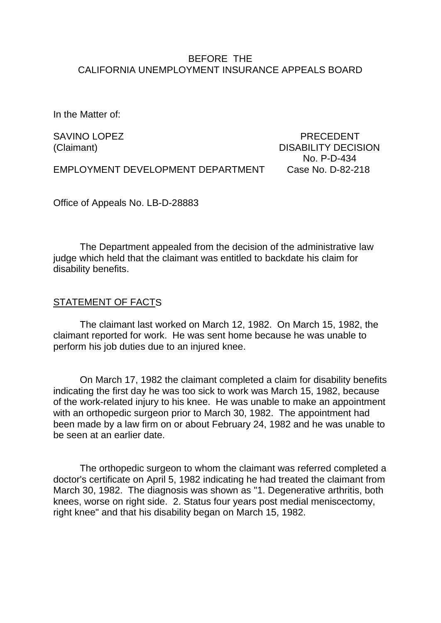### BEFORE THE CALIFORNIA UNEMPLOYMENT INSURANCE APPEALS BOARD

In the Matter of:

SAVINO LOPEZ **Example 2** and the contract of the precedent precedent (Claimant) DISABILITY DECISION No. P-D-434

EMPLOYMENT DEVELOPMENT DEPARTMENT Case No. D-82-218

Office of Appeals No. LB-D-28883

The Department appealed from the decision of the administrative law judge which held that the claimant was entitled to backdate his claim for disability benefits.

### STATEMENT OF FACTS

The claimant last worked on March 12, 1982. On March 15, 1982, the claimant reported for work. He was sent home because he was unable to perform his job duties due to an injured knee.

On March 17, 1982 the claimant completed a claim for disability benefits indicating the first day he was too sick to work was March 15, 1982, because of the work-related injury to his knee. He was unable to make an appointment with an orthopedic surgeon prior to March 30, 1982. The appointment had been made by a law firm on or about February 24, 1982 and he was unable to be seen at an earlier date.

The orthopedic surgeon to whom the claimant was referred completed a doctor's certificate on April 5, 1982 indicating he had treated the claimant from March 30, 1982. The diagnosis was shown as "1. Degenerative arthritis, both knees, worse on right side. 2. Status four years post medial meniscectomy, right knee" and that his disability began on March 15, 1982.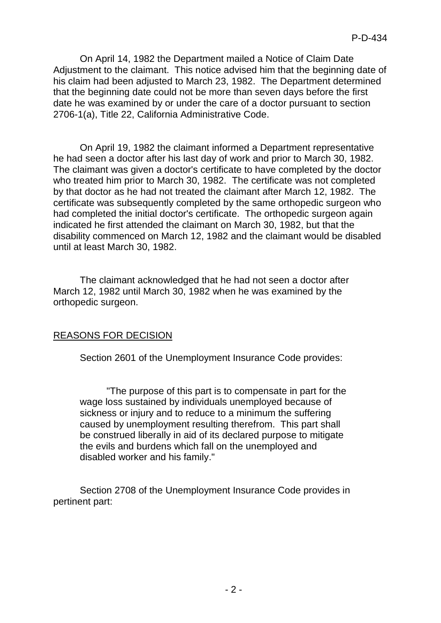On April 14, 1982 the Department mailed a Notice of Claim Date Adjustment to the claimant. This notice advised him that the beginning date of his claim had been adjusted to March 23, 1982. The Department determined that the beginning date could not be more than seven days before the first date he was examined by or under the care of a doctor pursuant to section 2706-1(a), Title 22, California Administrative Code.

On April 19, 1982 the claimant informed a Department representative he had seen a doctor after his last day of work and prior to March 30, 1982. The claimant was given a doctor's certificate to have completed by the doctor who treated him prior to March 30, 1982. The certificate was not completed by that doctor as he had not treated the claimant after March 12, 1982. The certificate was subsequently completed by the same orthopedic surgeon who had completed the initial doctor's certificate. The orthopedic surgeon again indicated he first attended the claimant on March 30, 1982, but that the disability commenced on March 12, 1982 and the claimant would be disabled until at least March 30, 1982.

The claimant acknowledged that he had not seen a doctor after March 12, 1982 until March 30, 1982 when he was examined by the orthopedic surgeon.

## REASONS FOR DECISION

Section 2601 of the Unemployment Insurance Code provides:

"The purpose of this part is to compensate in part for the wage loss sustained by individuals unemployed because of sickness or injury and to reduce to a minimum the suffering caused by unemployment resulting therefrom. This part shall be construed liberally in aid of its declared purpose to mitigate the evils and burdens which fall on the unemployed and disabled worker and his family."

Section 2708 of the Unemployment Insurance Code provides in pertinent part: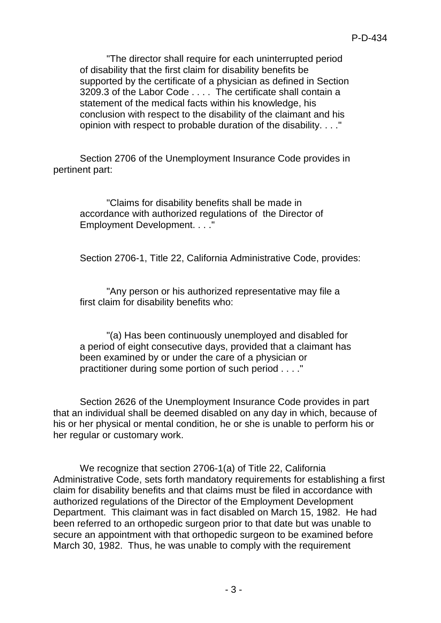"The director shall require for each uninterrupted period of disability that the first claim for disability benefits be supported by the certificate of a physician as defined in Section 3209.3 of the Labor Code . . . . The certificate shall contain a statement of the medical facts within his knowledge, his conclusion with respect to the disability of the claimant and his opinion with respect to probable duration of the disability. . . ."

Section 2706 of the Unemployment Insurance Code provides in pertinent part:

"Claims for disability benefits shall be made in accordance with authorized regulations of the Director of Employment Development. . . ."

Section 2706-1, Title 22, California Administrative Code, provides:

"Any person or his authorized representative may file a first claim for disability benefits who:

"(a) Has been continuously unemployed and disabled for a period of eight consecutive days, provided that a claimant has been examined by or under the care of a physician or practitioner during some portion of such period . . . ."

Section 2626 of the Unemployment Insurance Code provides in part that an individual shall be deemed disabled on any day in which, because of his or her physical or mental condition, he or she is unable to perform his or her regular or customary work.

We recognize that section 2706-1(a) of Title 22, California Administrative Code, sets forth mandatory requirements for establishing a first claim for disability benefits and that claims must be filed in accordance with authorized regulations of the Director of the Employment Development Department. This claimant was in fact disabled on March 15, 1982. He had been referred to an orthopedic surgeon prior to that date but was unable to secure an appointment with that orthopedic surgeon to be examined before March 30, 1982. Thus, he was unable to comply with the requirement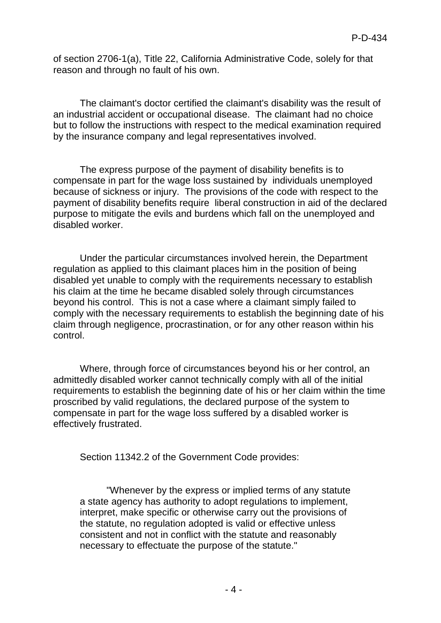of section 2706-1(a), Title 22, California Administrative Code, solely for that reason and through no fault of his own.

The claimant's doctor certified the claimant's disability was the result of an industrial accident or occupational disease. The claimant had no choice but to follow the instructions with respect to the medical examination required by the insurance company and legal representatives involved.

The express purpose of the payment of disability benefits is to compensate in part for the wage loss sustained by individuals unemployed because of sickness or injury. The provisions of the code with respect to the payment of disability benefits require liberal construction in aid of the declared purpose to mitigate the evils and burdens which fall on the unemployed and disabled worker.

Under the particular circumstances involved herein, the Department regulation as applied to this claimant places him in the position of being disabled yet unable to comply with the requirements necessary to establish his claim at the time he became disabled solely through circumstances beyond his control. This is not a case where a claimant simply failed to comply with the necessary requirements to establish the beginning date of his claim through negligence, procrastination, or for any other reason within his control.

Where, through force of circumstances beyond his or her control, an admittedly disabled worker cannot technically comply with all of the initial requirements to establish the beginning date of his or her claim within the time proscribed by valid regulations, the declared purpose of the system to compensate in part for the wage loss suffered by a disabled worker is effectively frustrated.

Section 11342.2 of the Government Code provides:

"Whenever by the express or implied terms of any statute a state agency has authority to adopt regulations to implement, interpret, make specific or otherwise carry out the provisions of the statute, no regulation adopted is valid or effective unless consistent and not in conflict with the statute and reasonably necessary to effectuate the purpose of the statute."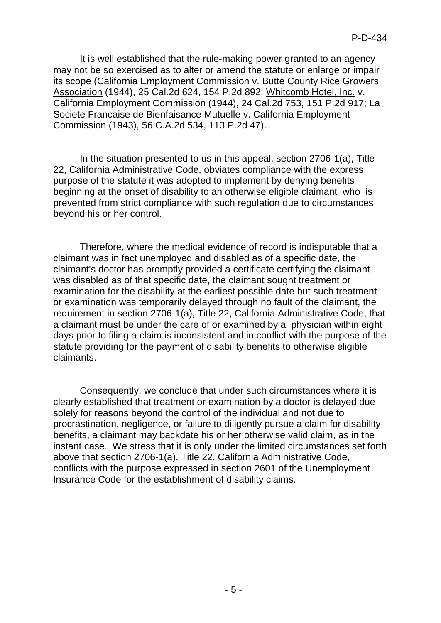It is well established that the rule-making power granted to an agency may not be so exercised as to alter or amend the statute or enlarge or impair its scope (California Employment Commission v. Butte County Rice Growers Association (1944), 25 Cal.2d 624, 154 P.2d 892; Whitcomb Hotel, Inc. v. California Employment Commission (1944), 24 Cal.2d 753, 151 P.2d 917; La Societe Francaise de Bienfaisance Mutuelle v. California Employment Commission (1943), 56 C.A.2d 534, 113 P.2d 47).

In the situation presented to us in this appeal, section 2706-1(a), Title 22, California Administrative Code, obviates compliance with the express purpose of the statute it was adopted to implement by denying benefits beginning at the onset of disability to an otherwise eligible claimant who is prevented from strict compliance with such regulation due to circumstances beyond his or her control.

Therefore, where the medical evidence of record is indisputable that a claimant was in fact unemployed and disabled as of a specific date, the claimant's doctor has promptly provided a certificate certifying the claimant was disabled as of that specific date, the claimant sought treatment or examination for the disability at the earliest possible date but such treatment or examination was temporarily delayed through no fault of the claimant, the requirement in section 2706-1(a), Title 22, California Administrative Code, that a claimant must be under the care of or examined by a physician within eight days prior to filing a claim is inconsistent and in conflict with the purpose of the statute providing for the payment of disability benefits to otherwise eligible claimants.

Consequently, we conclude that under such circumstances where it is clearly established that treatment or examination by a doctor is delayed due solely for reasons beyond the control of the individual and not due to procrastination, negligence, or failure to diligently pursue a claim for disability benefits, a claimant may backdate his or her otherwise valid claim, as in the instant case. We stress that it is only under the limited circumstances set forth above that section 2706-1(a), Title 22, California Administrative Code, conflicts with the purpose expressed in section 2601 of the Unemployment Insurance Code for the establishment of disability claims.